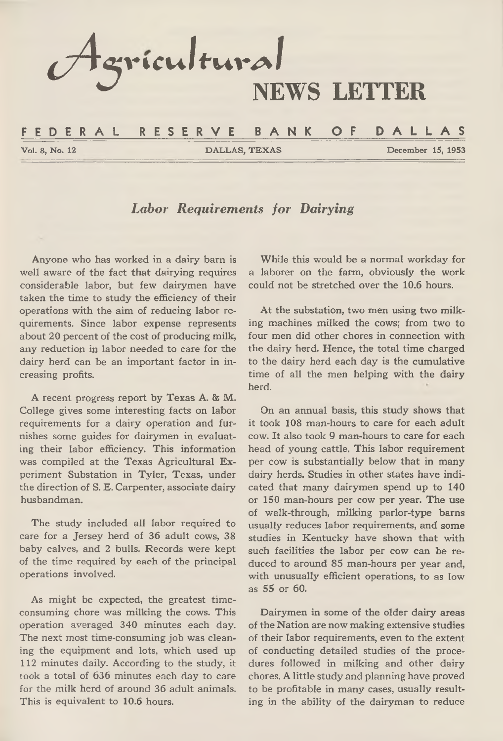*l A* 9 **iric u lfu m l NEWS LETTER**

#### **F E D E R A L R E S E R V E B A N K OF D A L L A S**

**Vol. 8, No. 12 DALLAS, TEXAS December 15, 1953**

### *Labor Requirements for Dairying*

**Anyone who has worked in a dairy barn is well aware of the fact that dairying requires considerable labor, but few dairymen have taken the time to study the efficiency of their operations with the aim of reducing labor requirements. Since labor expense represents about 20 percent of the cost of producing milk, any reduction in labor needed to care for the dairy herd can be an important factor in increasing profits.**

**A recent progress report by Texas A. & M. College gives some interesting facts on labor requirements for a dairy operation and furnishes some guides for dairymen in evaluating their labor efficiency. This information was compiled at the Texas Agricultural Experiment Substation in Tyler, Texas, under the direction of S. E. Carpenter, associate dairy husbandman.**

**The study included all labor required to care for a Jersey herd of 36 adult cows, 38 baby calves, and 2 bulls. Records were kept of the time required by each of the principal operations involved.**

**As might be expected, the greatest timeconsuming chore was milking the cows. This operation averaged 340 minutes each day. The next most time-consuming job was cleaning the equipment and lots, which used up 112 minutes daily. According to the study, it took a total of 636 minutes each day to care for the milk herd of around 36 adult animals. This is equivalent to 10,6 hours.**

**While this would be a normal workday for a laborer on the farm, obviously the work could not be stretched over the 10.6 hours.**

**At the substation, two men using two milking machines milked the cows; from two to four men did other chores in connection with the dairy herd. Hence, the total time charged to the dairy herd each day is the cumulative time of all the men helping with the dairy herd.**

**On an annual basis, this study shows that it took 108 man-hours to care for each adult cow. It also took 9 man-hours to care for each head of young cattle. This labor requirement per cow is substantially below that in many dairy herds. Studies in other states have indicated that many dairymen spend up to 140 or 150 man-hours per cow per year. The use of walk-through, milking parlor-type barns usually reduces labor requirements, and some studies in Kentucky have shown that with such facilities the labor per cow can be reduced to around 85 man-hours per year and, with unusually efficient operations, to as low as 55 or 60.**

**Dairymen in some of the older dairy areas of the Nation are now making extensive studies of their labor requirements, even to the extent of conducting detailed studies of the procedures followed in milking and other dairy chores. A little study and planning have proved to be profitable in many cases, usually resulting in the ability of the dairyman to reduce**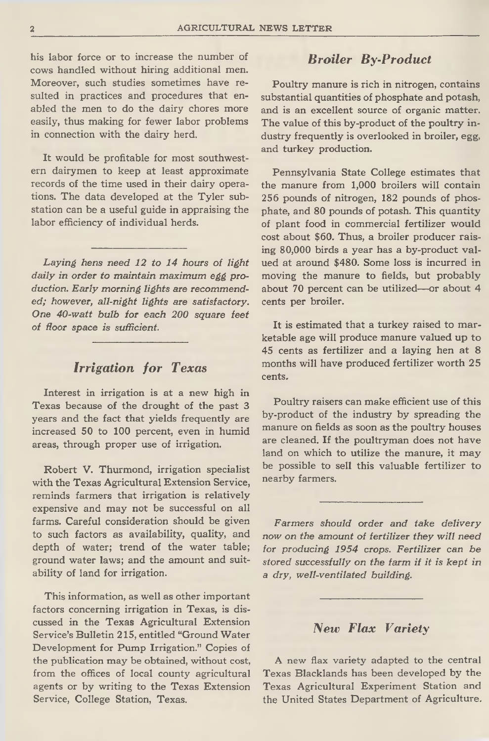**his labor force or to increase the number of cows handled without hiring additional men. Moreover, such studies sometimes have resulted in practices and procedures that enabled the men to do the dairy chores more easily, thus making for fewer labor problems in connection with the dairy herd.**

**It would be profitable for most southwestern dairymen to keep at least approximate records of the time used in their dairy operations. The data developed at the Tyler substation can be a useful guide in appraising the labor efficiency of individual herds.**

*Laying hens need 12 to 14 hours of light daily in order to maintain maximum egg production. Early morning lights are recommended; however, all-night lights are satisfactory. One 40-watt bulb for each 200 square feet of floor space is sufficient.*

### *Irrigation for Texas*

**Interest in irrigation is at a new high in Texas because of the drought of the past 3 years and the fact that yields frequently are increased 50 to 100 percent, even in humid areas, through proper use of irrigation.**

**Robert V. Thurmond, irrigation specialist with the Texas Agricultural Extension Service, reminds farmers that irrigation is relatively expensive and may not be successful on all farms. Careful consideration should be given to such factors as availability, quality, and depth of water; trend of the water table; ground water laws; and the amount and suitability of land for irrigation.**

**This information, as well as other important factors concerning irrigation in Texas, is discussed in the Texas Agricultural Extension Service's Bulletin 215, entitled "Ground Water Development for Pump Irrigation." Copies of the publication may be obtained, without cost, from the offices of local county agricultural agents or by writing to the Texas Extension Service, College Station, Texas.**

### *Broiler By-Product*

**Poultry manure is rich in nitrogen, contains substantial quantities of phosphate and potash, and is an excellent source of organic matter. The value of this by-product of the poultry industry frequently is overlooked in broiler, egg, and turkey production.**

**Pennsylvania State College estimates that the manure from 1,000 broilers will contain 256 pounds of nitrogen, 182 pounds of phosphate, and 80 pounds of potash. This quantity of plant food in commercial fertilizer would cost about \$60. Thus, a broiler producer raising 80,000 birds a year has a by-product valued at around \$480. Some loss is incurred in moving the manure to fields, but probably about 70 percent can be utilized—or about 4 cents per broiler.**

**It is estimated that a turkey raised to marketable age will produce manure valued up to 45 cents as fertilizer and a laying hen at 8 months will have produced fertilizer worth 25 cents.**

**Poultry raisers can make efficient use of this by-product of the industry by spreading the manure on fields as soon as the poultry houses are cleaned. If the poultryman does not have land on which to utilize the manure, it may be possible to sell this valuable fertilizer to nearby farmers.**

*Farmers should order and take delivery now on the amount of fertilizer they will need for producing 1954 crops. Fertilizer can be stored successfully on the farm if it is kept in a dry, well-ventilated building.*

#### *New Flax Variety*

**A new flax variety adapted to the central Texas Blacklands has been developed by the Texas Agricultural Experiment Station and the United States Department of Agriculture.**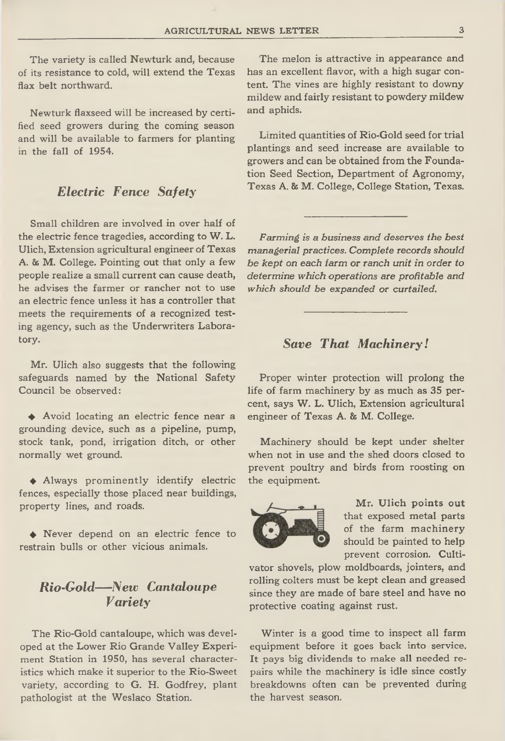**The variety is called Newturk and, because of its resistance to cold, will extend the Texas flax belt northward.**

**Newturk flaxseed will be increased by certified seed growers during the coming season and will be available to farmers for planting in the fall of 1954.**

# *Electric Fence Safety*

**Small children are involved in over half of the electric fence tragedies, according to W. L. Ulich, Extension agricultural engineer of Texas A. & M. College. Pointing out that only a few people realize a small current can cause death, he advises the farmer or rancher not to use an electric fence unless it has a controller that meets the requirements of a recognized testing agency, such as the Underwriters Laboratory.**

**Mr. Ulich also suggests that the following safeguards named by the National Safety Council be observed:**

**♦ Avoid locating an electric fence near a grounding device, such as a pipeline, pump, stock tank, pond, irrigation ditch, or other normally wet ground.**

**♦ Always prominently identify electric fences, especially those placed near buildings, property lines, and roads.**

**♦ Never depend on an electric fence to restrain bulls or other vicious animals.**

### *Rio-Gold— New Cantaloupe Variety*

**The Rio-Gold cantaloupe, which was developed at the Lower Rio Grande Valley Experiment Station in 1950, has several characteristics which make it superior to the Rio-Sweet variety, according to G. H. Godfrey, plant pathologist at the Weslaco Station.**

**The melon is attractive in appearance and has an excellent flavor, with a high sugar content. The vines are highly resistant to downy mildew and fairly resistant to powdery mildew and aphids.**

**Limited quantities of Rio-Gold seed for trial plantings and seed increase are available to growers and can be obtained from the Foundation Seed Section, Department of Agronomy, Texas A. 8s M. College, College Station, Texas.**

*Farming is a business and deserves the best managerial practices. Complete records should be kept on each farm or ranch unit in order to determine which operations are profitable and which should be expanded or curtailed.*

#### *Save That Machinery!*

**Proper winter protection will prolong the life of farm machinery by as much as 35 percent, says W. L. Ulich, Extension agricultural engineer of Texas A. & M. College.**

**Machinery should be kept under shelter when not in use and the shed doors closed to prevent poultry and birds from roosting on the equipment.**



**Mr. Ulich points out that exposed metal parts of the farm machinery should be painted to help prevent corrosion. Culti-**

**vator shovels, plow moldboards, jointers, and rolling colters must be kept clean and greased since they are made of bare steel and have no protective coating against rust.**

**Winter is a good time to inspect all farm equipment before it goes back into service. It pays big dividends to make all needed repairs while the machinery is idle since costly breakdowns often can be prevented during the harvest season.**